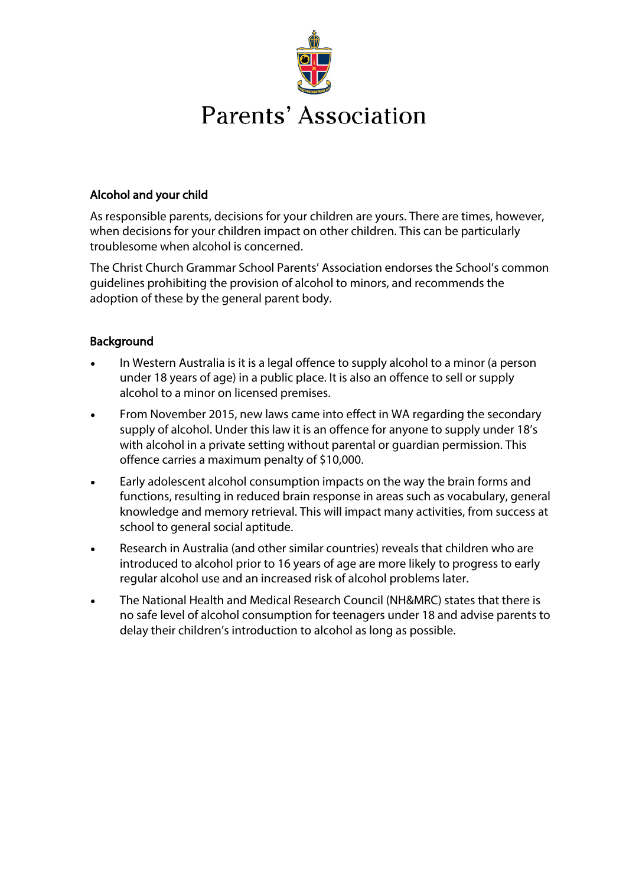

## Alcohol and your child

As responsible parents, decisions for your children are yours. There are times, however, when decisions for your children impact on other children. This can be particularly troublesome when alcohol is concerned.

The Christ Church Grammar School Parents' Association endorses the School's common guidelines prohibiting the provision of alcohol to minors, and recommends the adoption of these by the general parent body.

## **Background**

- In Western Australia is it is a legal offence to supply alcohol to a minor (a person under 18 years of age) in a public place. It is also an offence to sell or supply alcohol to a minor on licensed premises.
- From November 2015, new laws came into effect in WA regarding the secondary supply of alcohol. Under this law it is an offence for anyone to supply under 18's with alcohol in a private setting without parental or guardian permission. This offence carries a maximum penalty of \$10,000.
- Early adolescent alcohol consumption impacts on the way the brain forms and functions, resulting in reduced brain response in areas such as vocabulary, general knowledge and memory retrieval. This will impact many activities, from success at school to general social aptitude.
- Research in Australia (and other similar countries) reveals that children who are introduced to alcohol prior to 16 years of age are more likely to progress to early regular alcohol use and an increased risk of alcohol problems later.
- The National Health and Medical Research Council (NH&MRC) states that there is no safe level of alcohol consumption for teenagers under 18 and advise parents to delay their children's introduction to alcohol as long as possible.